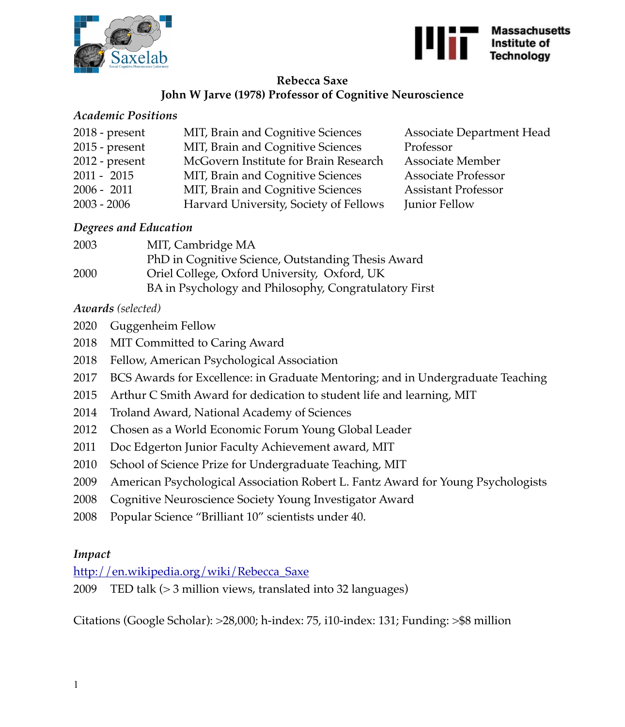



## **Rebecca Saxe John W Jarve (1978) Professor of Cognitive Neuroscience**

### *Academic Positions*

| $2018$ - present | MIT, Brain and Cognitive Sciences      | <b>Associate Department Head</b> |
|------------------|----------------------------------------|----------------------------------|
| $2015$ - present | MIT, Brain and Cognitive Sciences      | Professor                        |
| $2012$ - present | McGovern Institute for Brain Research  | <b>Associate Member</b>          |
| $2011 - 2015$    | MIT, Brain and Cognitive Sciences      | <b>Associate Professor</b>       |
| $2006 - 2011$    | MIT, Brain and Cognitive Sciences      | <b>Assistant Professor</b>       |
| $2003 - 2006$    | Harvard University, Society of Fellows | Junior Fellow                    |

### *Degrees and Education*

| 2003 | MIT, Cambridge MA                                     |
|------|-------------------------------------------------------|
|      | PhD in Cognitive Science, Outstanding Thesis Award    |
| 2000 | Oriel College, Oxford University, Oxford, UK          |
|      | BA in Psychology and Philosophy, Congratulatory First |

# *Awards (selected)*

- 2020 Guggenheim Fellow
- 2018 MIT Committed to Caring Award
- 2018 Fellow, American Psychological Association
- 2017 BCS Awards for Excellence: in Graduate Mentoring; and in Undergraduate Teaching
- 2015 Arthur C Smith Award for dedication to student life and learning, MIT
- 2014 Troland Award, National Academy of Sciences
- 2012 Chosen as a World Economic Forum Young Global Leader
- 2011 Doc Edgerton Junior Faculty Achievement award, MIT
- 2010 School of Science Prize for Undergraduate Teaching, MIT
- 2009 American Psychological Association Robert L. Fantz Award for Young Psychologists
- 2008 Cognitive Neuroscience Society Young Investigator Award
- 2008 Popular Science "Brilliant 10" scientists under 40.

# *Impact*

[http://en.wikipedia.org/wiki/Rebecca\\_Saxe](http://en.wikipedia.org/wiki/Rebecca_Saxe)

2009 TED talk (> 3 million views, translated into 32 languages)

Citations (Google Scholar): >28,000; h-index: 75, i10-index: 131; Funding: >\$8 million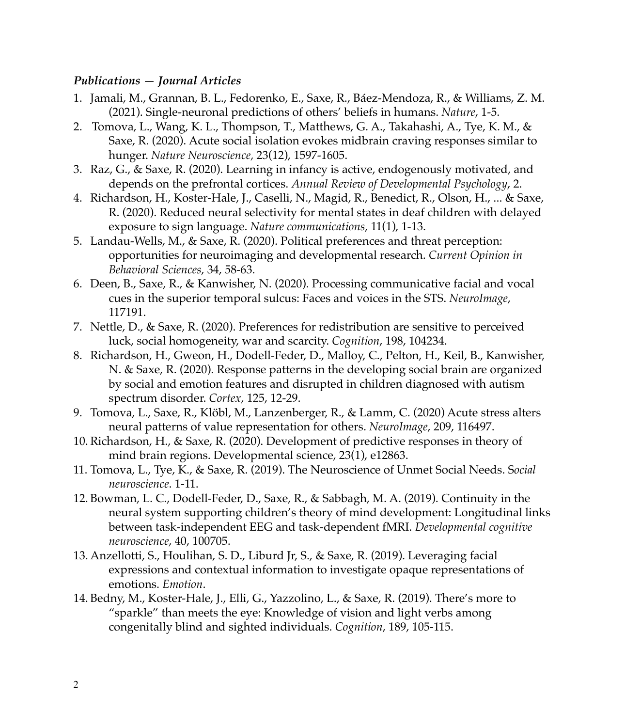#### *Publications — Journal Articles*

- 1. Jamali, M., Grannan, B. L., Fedorenko, E., Saxe, R., Báez-Mendoza, R., & Williams, Z. M. (2021). Single-neuronal predictions of others' beliefs in humans. *Nature*, 1-5.
- 2. Tomova, L., Wang, K. L., Thompson, T., Matthews, G. A., Takahashi, A., Tye, K. M., & Saxe, R. (2020). Acute social isolation evokes midbrain craving responses similar to hunger. *Nature Neuroscience,* 23(12), 1597-1605.
- 3. Raz, G., & Saxe, R. (2020). Learning in infancy is active, endogenously motivated, and depends on the prefrontal cortices. *Annual Review of Developmental Psychology*, 2.
- 4. Richardson, H., Koster-Hale, J., Caselli, N., Magid, R., Benedict, R., Olson, H., ... & Saxe, R. (2020). Reduced neural selectivity for mental states in deaf children with delayed exposure to sign language. *Nature communications*, 11(1), 1-13.
- 5. Landau-Wells, M., & Saxe, R. (2020). Political preferences and threat perception: opportunities for neuroimaging and developmental research. *Current Opinion in Behavioral Sciences*, 34, 58-63.
- 6. Deen, B., Saxe, R., & Kanwisher, N. (2020). Processing communicative facial and vocal cues in the superior temporal sulcus: Faces and voices in the STS. *NeuroImage*, 117191.
- 7. Nettle, D., & Saxe, R. (2020). Preferences for redistribution are sensitive to perceived luck, social homogeneity, war and scarcity. *Cognition*, 198, 104234.
- 8. Richardson, H., Gweon, H., Dodell-Feder, D., Malloy, C., Pelton, H., Keil, B., Kanwisher, N. & Saxe, R. (2020). Response patterns in the developing social brain are organized by social and emotion features and disrupted in children diagnosed with autism spectrum disorder. *Cortex*, 125, 12-29.
- 9. Tomova, L., Saxe, R., Klöbl, M., Lanzenberger, R., & Lamm, C. (2020) Acute stress alters neural patterns of value representation for others. *NeuroImage*, 209, 116497.
- 10. Richardson, H., & Saxe, R. (2020). Development of predictive responses in theory of mind brain regions. Developmental science, 23(1), e12863.
- 11. Tomova, L., Tye, K., & Saxe, R. (2019). The Neuroscience of Unmet Social Needs. S*ocial neuroscience*. 1-11.
- 12. Bowman, L. C., Dodell-Feder, D., Saxe, R., & Sabbagh, M. A. (2019). Continuity in the neural system supporting children's theory of mind development: Longitudinal links between task-independent EEG and task-dependent fMRI. *Developmental cognitive neuroscience*, 40, 100705.
- 13. Anzellotti, S., Houlihan, S. D., Liburd Jr, S., & Saxe, R. (2019). Leveraging facial expressions and contextual information to investigate opaque representations of emotions. *Emotion*.
- 14. Bedny, M., Koster-Hale, J., Elli, G., Yazzolino, L., & Saxe, R. (2019). There's more to "sparkle" than meets the eye: Knowledge of vision and light verbs among congenitally blind and sighted individuals. *Cognition*, 189, 105-115.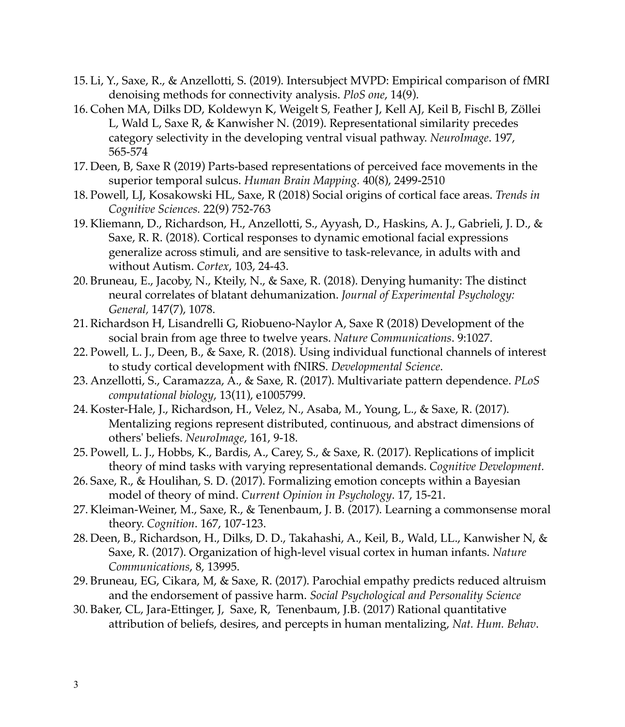- 15. Li, Y., Saxe, R., & Anzellotti, S. (2019). Intersubject MVPD: Empirical comparison of fMRI denoising methods for connectivity analysis. *PloS one*, 14(9).
- 16. Cohen MA, Dilks DD, Koldewyn K, Weigelt S, Feather J, Kell AJ, Keil B, Fischl B, Zöllei L, Wald L, Saxe R, & Kanwisher N. (2019). Representational similarity precedes category selectivity in the developing ventral visual pathway. *NeuroImage*. 197, 565-574
- 17. Deen, B, Saxe R (2019) Parts-based representations of perceived face movements in the superior temporal sulcus. *Human Brain Mapping.* 40(8), 2499-2510
- 18. Powell, LJ, Kosakowski HL, Saxe, R (2018) Social origins of cortical face areas. *Trends in Cognitive Sciences.* 22(9) 752-763
- 19. Kliemann, D., Richardson, H., Anzellotti, S., Ayyash, D., Haskins, A. J., Gabrieli, J. D., & Saxe, R. R. (2018). Cortical responses to dynamic emotional facial expressions generalize across stimuli, and are sensitive to task-relevance, in adults with and without Autism. *Cortex*, 103, 24-43.
- 20. Bruneau, E., Jacoby, N., Kteily, N., & Saxe, R. (2018). Denying humanity: The distinct neural correlates of blatant dehumanization. *Journal of Experimental Psychology: General,* 147(7), 1078.
- 21. Richardson H, Lisandrelli G, Riobueno-Naylor A, Saxe R (2018) Development of the social brain from age three to twelve years. *Nature Communications*. 9:1027.
- 22. Powell, L. J., Deen, B., & Saxe, R. (2018). Using individual functional channels of interest to study cortical development with fNIRS. *Developmental Science*.
- 23. Anzellotti, S., Caramazza, A., & Saxe, R. (2017). Multivariate pattern dependence. *PLoS computational biology*, 13(11), e1005799.
- 24. Koster-Hale, J., Richardson, H., Velez, N., Asaba, M., Young, L., & Saxe, R. (2017). Mentalizing regions represent distributed, continuous, and abstract dimensions of others' beliefs. *NeuroImage*, 161, 9-18.
- 25. Powell, L. J., Hobbs, K., Bardis, A., Carey, S., & Saxe, R. (2017). Replications of implicit theory of mind tasks with varying representational demands. *Cognitive Development.*
- 26. Saxe, R., & Houlihan, S. D. (2017). Formalizing emotion concepts within a Bayesian model of theory of mind. *Current Opinion in Psychology*. 17, 15-21.
- 27. Kleiman-Weiner, M., Saxe, R., & Tenenbaum, J. B. (2017). Learning a commonsense moral theory. *Cognition*. 167, 107-123.
- 28. Deen, B., Richardson, H., Dilks, D. D., Takahashi, A., Keil, B., Wald, LL., Kanwisher N, & Saxe, R. (2017). Organization of high-level visual cortex in human infants. *Nature Communications*, 8, 13995.
- 29. Bruneau, EG, Cikara, M, & Saxe, R. (2017). Parochial empathy predicts reduced altruism and the endorsement of passive harm. *Social Psychological and Personality Science*
- 30. Baker, CL, Jara-Ettinger, J, Saxe, R, Tenenbaum, J.B. (2017) Rational quantitative attribution of beliefs, desires, and percepts in human mentalizing, *Nat. Hum. Behav*.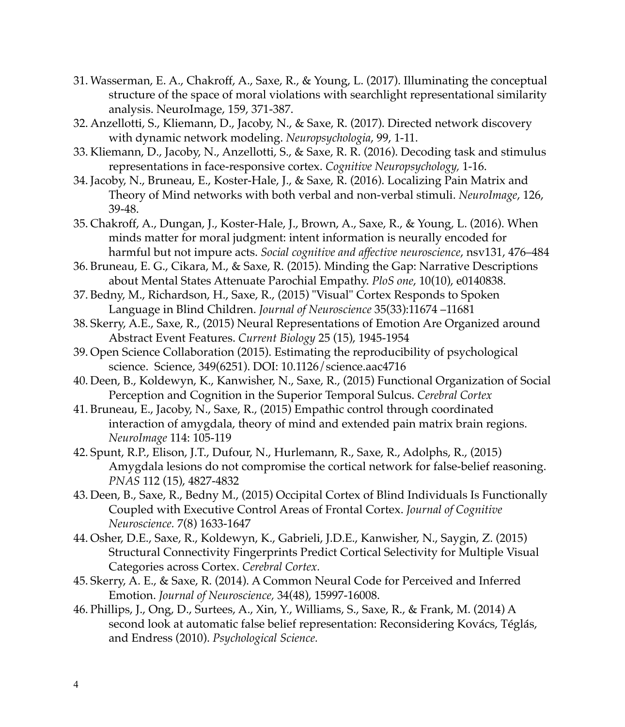- 31. Wasserman, E. A., Chakroff, A., Saxe, R., & Young, L. (2017). Illuminating the conceptual structure of the space of moral violations with searchlight representational similarity analysis. NeuroImage, 159, 371-387.
- 32. Anzellotti, S., Kliemann, D., Jacoby, N., & Saxe, R. (2017). Directed network discovery with dynamic network modeling. *Neuropsychologia*, 99, 1-11.
- 33. Kliemann, D., Jacoby, N., Anzellotti, S., & Saxe, R. R. (2016). Decoding task and stimulus representations in face-responsive cortex. *Cognitive Neuropsychology,* 1-16.
- 34. Jacoby, N., Bruneau, E., Koster-Hale, J., & Saxe, R. (2016). Localizing Pain Matrix and Theory of Mind networks with both verbal and non-verbal stimuli. *NeuroImage*, 126, 39-48.
- 35. Chakroff, A., Dungan, J., Koster-Hale, J., Brown, A., Saxe, R., & Young, L. (2016). When minds matter for moral judgment: intent information is neurally encoded for harmful but not impure acts. *Social cognitive and affective neuroscience*, nsv131, 476–484
- 36. Bruneau, E. G., Cikara, M., & Saxe, R. (2015). Minding the Gap: Narrative Descriptions about Mental States Attenuate Parochial Empathy. *PloS one*, 10(10), e0140838.
- 37. Bedny, M., Richardson, H., Saxe, R., (2015) "Visual" Cortex Responds to Spoken Language in Blind Children. *Journal of Neuroscience* 35(33):11674 –11681
- 38. Skerry, A.E., Saxe, R., (2015) Neural Representations of Emotion Are Organized around Abstract Event Features. *Current Biology* 25 (15), 1945-1954
- 39. Open Science Collaboration (2015). Estimating the reproducibility of psychological science. Science, 349(6251). DOI: 10.1126/science.aac4716
- 40. Deen, B., Koldewyn, K., Kanwisher, N., Saxe, R., (2015) Functional Organization of Social Perception and Cognition in the Superior Temporal Sulcus. *Cerebral Cortex*
- 41. Bruneau, E., Jacoby, N., Saxe, R., (2015) Empathic control through coordinated interaction of amygdala, theory of mind and extended pain matrix brain regions. *NeuroImage* 114: 105-119
- 42. Spunt, R.P., Elison, J.T., Dufour, N., Hurlemann, R., Saxe, R., Adolphs, R., (2015) Amygdala lesions do not compromise the cortical network for false-belief reasoning. *PNAS* 112 (15), 4827-4832
- 43. Deen, B., Saxe, R., Bedny M., (2015) Occipital Cortex of Blind Individuals Is Functionally Coupled with Executive Control Areas of Frontal Cortex. *Journal of Cognitive Neuroscience.* 7(8) 1633-1647
- 44. Osher, D.E., Saxe, R., Koldewyn, K., Gabrieli, J.D.E., Kanwisher, N., Saygin, Z. (2015) Structural Connectivity Fingerprints Predict Cortical Selectivity for Multiple Visual Categories across Cortex. *Cerebral Cortex.*
- 45. Skerry, A. E., & Saxe, R. (2014). A Common Neural Code for Perceived and Inferred Emotion. *Journal of Neuroscience,* 34(48), 15997-16008.
- 46. Phillips, J., Ong, D., Surtees, A., Xin, Y., Williams, S., Saxe, R., & Frank, M. (2014) A second look at automatic false belief representation: Reconsidering Kovács, Téglás, and Endress (2010). *Psychological Science.*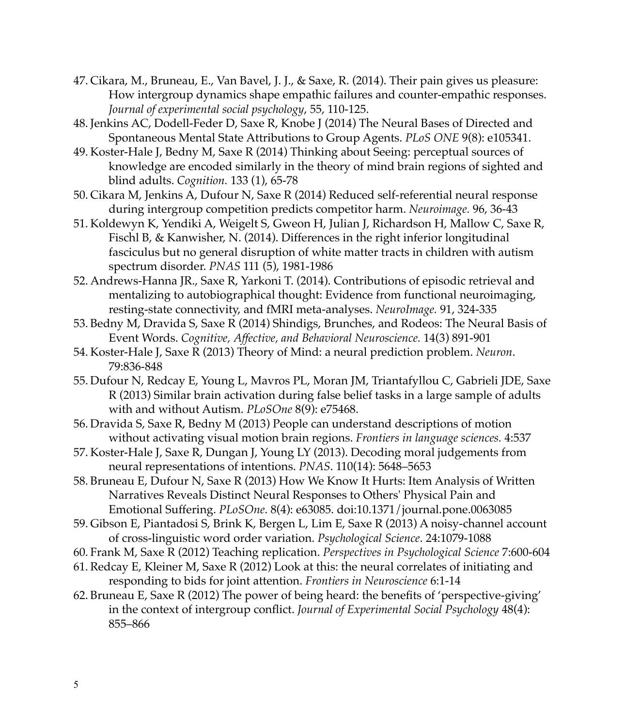- 47. Cikara, M., Bruneau, E., Van Bavel, J. J., & Saxe, R. (2014). Their pain gives us pleasure: How intergroup dynamics shape empathic failures and counter-empathic responses. *Journal of experimental social psychology*, 55, 110-125.
- 48. Jenkins AC, Dodell-Feder D, Saxe R, Knobe J (2014) The Neural Bases of Directed and Spontaneous Mental State Attributions to Group Agents. *PLoS ONE* 9(8): e105341.
- 49. Koster-Hale J, Bedny M, Saxe R (2014) Thinking about Seeing: perceptual sources of knowledge are encoded similarly in the theory of mind brain regions of sighted and blind adults. *Cognition.* 133 (1), 65-78
- 50. Cikara M, Jenkins A, Dufour N, Saxe R (2014) Reduced self-referential neural response during intergroup competition predicts competitor harm. *Neuroimage.* 96, 36-43
- 51. Koldewyn K, Yendiki A, Weigelt S, Gweon H, Julian J, Richardson H, Mallow C, Saxe R, Fischl B, & Kanwisher, N. (2014). Differences in the right inferior longitudinal fasciculus but no general disruption of white matter tracts in children with autism spectrum disorder. *PNAS* 111 (5), 1981-1986
- 52. Andrews-Hanna JR., Saxe R, Yarkoni T. (2014). Contributions of episodic retrieval and mentalizing to autobiographical thought: Evidence from functional neuroimaging, resting-state connectivity, and fMRI meta-analyses. *NeuroImage.* 91, 324-335
- 53. Bedny M, Dravida S, Saxe R (2014) Shindigs, Brunches, and Rodeos: The Neural Basis of Event Words. *Cognitive, Affective, and Behavioral Neuroscience.* 14(3) 891-901
- 54. Koster-Hale J, Saxe R (2013) Theory of Mind: a neural prediction problem. *Neuron*. 79:836-848
- 55. Dufour N, Redcay E, Young L, Mavros PL, Moran JM, Triantafyllou C, Gabrieli JDE, Saxe R (2013) Similar brain activation during false belief tasks in a large sample of adults with and without Autism. *PLoSOne* 8(9): e75468.
- 56. Dravida S, Saxe R, Bedny M (2013) People can understand descriptions of motion without activating visual motion brain regions. *Frontiers in language sciences.* 4:537
- 57. Koster-Hale J, Saxe R, Dungan J, Young LY (2013). Decoding moral judgements from neural representations of intentions. *PNAS*. 110(14): 5648–5653
- 58. Bruneau E, Dufour N, Saxe R (2013) How We Know It Hurts: Item Analysis of Written Narratives Reveals Distinct Neural Responses to Others' Physical Pain and Emotional Suffering. *PLoSOne*. 8(4): e63085. doi:10.1371/journal.pone.0063085
- 59. Gibson E, Piantadosi S, Brink K, Bergen L, Lim E, Saxe R (2013) A noisy-channel account of cross-linguistic word order variation. *Psychological Science*. 24:1079-1088
- 60. Frank M, Saxe R (2012) Teaching replication. *Perspectives in Psychological Science* 7:600-604
- 61. Redcay E, Kleiner M, Saxe R (2012) Look at this: the neural correlates of initiating and responding to bids for joint attention. *Frontiers in Neuroscience* 6:1-14
- 62. Bruneau E, Saxe R (2012) The power of being heard: the benefits of 'perspective-giving' in the context of intergroup conflict. *Journal of Experimental Social Psychology* 48(4): 855–866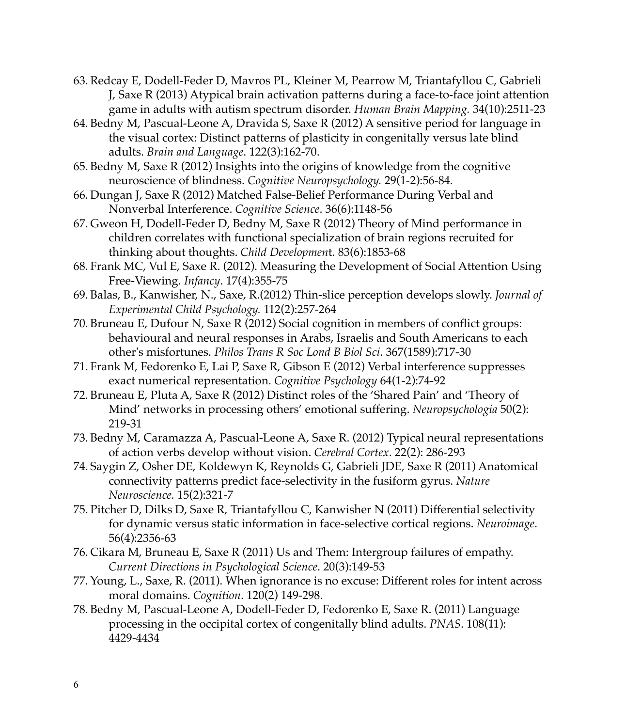- 63. Redcay E, Dodell-Feder D, Mavros PL, Kleiner M, Pearrow M, Triantafyllou C, Gabrieli J, Saxe R (2013) Atypical brain activation patterns during a face-to-face joint attention game in adults with autism spectrum disorder. *Human Brain Mapping.* 34(10):2511-23
- 64. Bedny M, Pascual-Leone A, Dravida S, Saxe R (2012) A sensitive period for language in the visual cortex: Distinct patterns of plasticity in congenitally versus late blind adults. *Brain and Language*. 122(3):162-70.
- 65. Bedny M, Saxe R (2012) Insights into the origins of knowledge from the cognitive neuroscience of blindness. *Cognitive Neuropsychology.* 29(1-2):56-84*.*
- 66. Dungan J, Saxe R (2012) Matched False-Belief Performance During Verbal and Nonverbal Interference. *Cognitive Science*. 36(6):1148-56
- 67. Gweon H, Dodell-Feder D, Bedny M, Saxe R (2012) Theory of Mind performance in children correlates with functional specialization of brain regions recruited for thinking about thoughts. *Child Developmen*t. 83(6):1853-68
- 68. Frank MC, Vul E, Saxe R. (2012). Measuring the Development of Social Attention Using Free-Viewing. *Infancy*. 17(4):355-75
- 69. Balas, B., Kanwisher, N., Saxe, R.(2012) Thin-slice perception develops slowly. *Journal of Experimental Child Psychology.* 112(2):257-264
- 70. Bruneau E, Dufour N, Saxe R (2012) Social cognition in members of conflict groups: behavioural and neural responses in Arabs, Israelis and South Americans to each other's misfortunes. *Philos Trans R Soc Lond B Biol Sci*. 367(1589):717-30
- 71. Frank M, Fedorenko E, Lai P, Saxe R, Gibson E (2012) Verbal interference suppresses exact numerical representation. *Cognitive Psychology* 64(1-2):74-92
- 72. Bruneau E, Pluta A, Saxe R (2012) Distinct roles of the 'Shared Pain' and 'Theory of Mind' networks in processing others' emotional suffering. *Neuropsychologia* 50(2): 219-31
- 73. Bedny M, Caramazza A, Pascual-Leone A, Saxe R. (2012) Typical neural representations of action verbs develop without vision. *Cerebral Cortex*. 22(2): 286-293
- 74. Saygin Z, Osher DE, Koldewyn K, Reynolds G, Gabrieli JDE, Saxe R (2011) Anatomical connectivity patterns predict face-selectivity in the fusiform gyrus. *Nature Neuroscience.* 15(2):321-7
- 75. Pitcher D, Dilks D, Saxe R, Triantafyllou C, Kanwisher N (2011) Differential selectivity for dynamic versus static information in face-selective cortical regions. *Neuroimage*. 56(4):2356-63
- 76. Cikara M, Bruneau E, Saxe R (2011) Us and Them: Intergroup failures of empathy. *Current Directions in Psychological Science*. 20(3):149-53
- 77. Young, L., Saxe, R. (2011). When ignorance is no excuse: Different roles for intent across moral domains. *Cognition*. 120(2) 149-298.
- 78. Bedny M, Pascual-Leone A, Dodell-Feder D, Fedorenko E, Saxe R. (2011) Language processing in the occipital cortex of congenitally blind adults. *PNAS*. 108(11): 4429-4434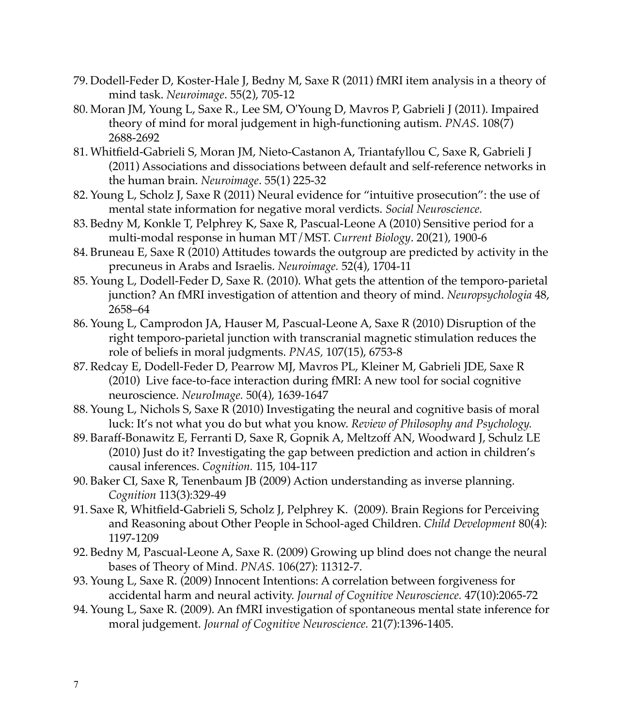- 79. Dodell-Feder D, Koster-Hale J, Bedny M, Saxe R (2011) fMRI item analysis in a theory of mind task. *Neuroimage*. 55(2), 705-12
- 80. Moran JM, Young L, Saxe R., Lee SM, O'Young D, Mavros P, Gabrieli J (2011). Impaired theory of mind for moral judgement in high-functioning autism. *PNAS*. 108(7) 2688-2692
- 81. Whitfield-Gabrieli S, Moran JM, Nieto-Castanon A, Triantafyllou C, Saxe R, Gabrieli J (2011) Associations and dissociations between default and self-reference networks in the human brain. *Neuroimage*. 55(1) 225-32
- 82. Young L, Scholz J, Saxe R (2011) Neural evidence for "intuitive prosecution": the use of mental state information for negative moral verdicts. *Social Neuroscience.*
- 83. Bedny M, Konkle T, Pelphrey K, Saxe R, Pascual-Leone A (2010) Sensitive period for a multi-modal response in human MT/MST. *Current Biology*. 20(21), 1900-6
- 84. Bruneau E, Saxe R (2010) Attitudes towards the outgroup are predicted by activity in the precuneus in Arabs and Israelis. *Neuroimage.* 52(4), 1704-11
- 85. Young L, Dodell-Feder D, Saxe R. (2010). What gets the attention of the temporo-parietal junction? An fMRI investigation of attention and theory of mind. *Neuropsychologia* 48, 2658–64
- 86. Young L, Camprodon JA, Hauser M, Pascual-Leone A, Saxe R (2010) Disruption of the right temporo-parietal junction with transcranial magnetic stimulation reduces the role of beliefs in moral judgments. *PNAS,* 107(15), 6753-8
- 87. Redcay E, Dodell-Feder D, Pearrow MJ, Mavros PL, Kleiner M, Gabrieli JDE, Saxe R (2010) Live face-to-face interaction during fMRI: A new tool for social cognitive neuroscience. *NeuroImage.* 50(4), 1639-1647
- 88. Young L, Nichols S, Saxe R (2010) Investigating the neural and cognitive basis of moral luck: It's not what you do but what you know. *Review of Philosophy and Psychology.*
- 89. Baraff-Bonawitz E, Ferranti D, Saxe R, Gopnik A, Meltzoff AN, Woodward J, Schulz LE (2010) Just do it? Investigating the gap between prediction and action in children's causal inferences. *Cognition.* 115, 104-117
- 90. Baker CI, Saxe R, Tenenbaum JB (2009) Action understanding as inverse planning. *Cognition* 113(3):329-49
- 91. Saxe R, Whitfield-Gabrieli S, Scholz J, Pelphrey K. (2009). Brain Regions for Perceiving and Reasoning about Other People in School-aged Children. *Child Development* 80(4): 1197-1209
- 92. Bedny M, Pascual-Leone A, Saxe R. (2009) Growing up blind does not change the neural bases of Theory of Mind. *PNAS.* 106(27): 11312-7.
- 93. Young L, Saxe R. (2009) Innocent Intentions: A correlation between forgiveness for accidental harm and neural activity. *Journal of Cognitive Neuroscience.* 47(10):2065-72
- 94. Young L, Saxe R. (2009). An fMRI investigation of spontaneous mental state inference for moral judgement. *Journal of Cognitive Neuroscience.* 21(7):1396-1405.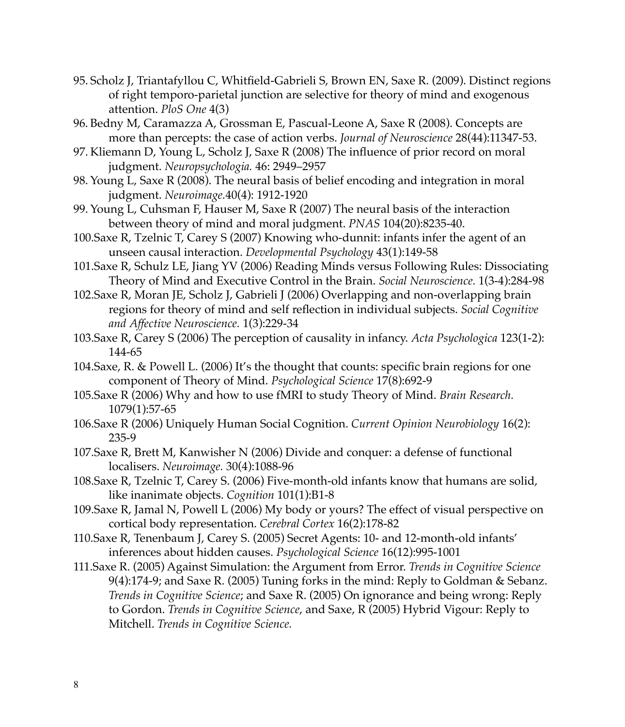- 95. Scholz J, Triantafyllou C, Whitfield-Gabrieli S, Brown EN, Saxe R. (2009). Distinct regions of right temporo-parietal junction are selective for theory of mind and exogenous attention. *PloS One* 4(3)
- 96. Bedny M, Caramazza A, Grossman E, Pascual-Leone A, Saxe R (2008). Concepts are more than percepts: the case of action verbs. *Journal of Neuroscience* 28(44):11347-53.
- 97. Kliemann D, Young L, Scholz J, Saxe R (2008) The influence of prior record on moral judgment. *Neuropsychologia.* 46: 2949–2957
- 98. Young L, Saxe R (2008). The neural basis of belief encoding and integration in moral judgment. *Neuroimage.*40(4): 1912-1920
- 99. Young L, Cuhsman F, Hauser M, Saxe R (2007) The neural basis of the interaction between theory of mind and moral judgment. *PNAS* 104(20):8235-40.
- 100.Saxe R, Tzelnic T, Carey S (2007) Knowing who-dunnit: infants infer the agent of an unseen causal interaction. *Developmental Psychology* 43(1):149-58
- 101.Saxe R, Schulz LE, Jiang YV (2006) Reading Minds versus Following Rules: Dissociating Theory of Mind and Executive Control in the Brain. *Social Neuroscience.* 1(3-4):284-98
- 102.Saxe R, Moran JE, Scholz J, Gabrieli J (2006) Overlapping and non-overlapping brain regions for theory of mind and self reflection in individual subjects. *Social Cognitive and Affective Neuroscience.* 1(3):229-34
- 103.Saxe R, Carey S (2006) The perception of causality in infancy. *Acta Psychologica* 123(1-2): 144-65
- 104.Saxe, R. & Powell L. (2006) It's the thought that counts: specific brain regions for one component of Theory of Mind. *Psychological Science* 17(8):692-9
- 105.Saxe R (2006) Why and how to use fMRI to study Theory of Mind. *Brain Research.*  1079(1):57-65
- 106.Saxe R (2006) Uniquely Human Social Cognition. *Current Opinion Neurobiology* 16(2): 235-9
- 107.Saxe R, Brett M, Kanwisher N (2006) Divide and conquer: a defense of functional localisers. *Neuroimage.* 30(4):1088-96
- 108.Saxe R, Tzelnic T, Carey S. (2006) Five-month-old infants know that humans are solid, like inanimate objects. *Cognition* 101(1):B1-8
- 109.Saxe R, Jamal N, Powell L (2006) My body or yours? The effect of visual perspective on cortical body representation. *Cerebral Cortex* 16(2):178-82
- 110.Saxe R, Tenenbaum J, Carey S. (2005) Secret Agents: 10- and 12-month-old infants' inferences about hidden causes. *Psychological Science* 16(12):995-1001
- 111.Saxe R. (2005) Against Simulation: the Argument from Error. *Trends in Cognitive Science*  9(4):174-9; and Saxe R. (2005) Tuning forks in the mind: Reply to Goldman & Sebanz. *Trends in Cognitive Science*; and Saxe R. (2005) On ignorance and being wrong: Reply to Gordon. *Trends in Cognitive Science*, and Saxe, R (2005) Hybrid Vigour: Reply to Mitchell. *Trends in Cognitive Science.*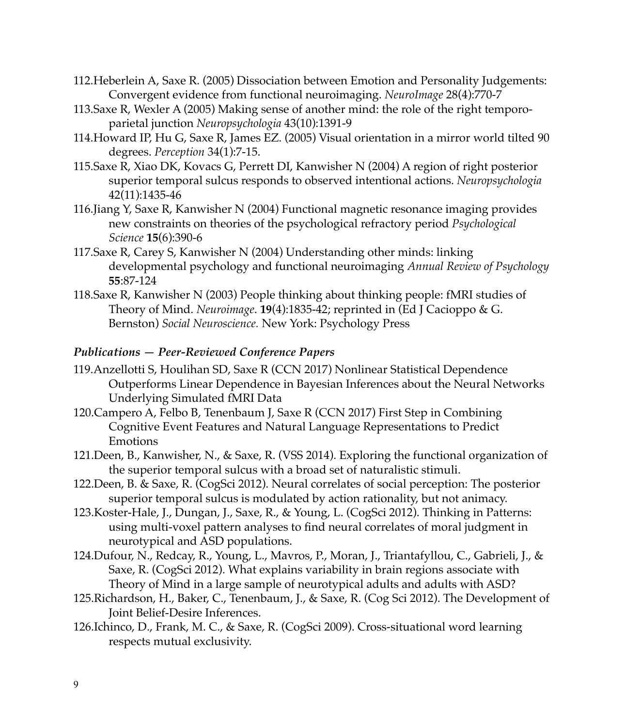- 112.Heberlein A, Saxe R. (2005) Dissociation between Emotion and Personality Judgements: Convergent evidence from functional neuroimaging. *NeuroImage* 28(4):770-7
- 113.Saxe R, Wexler A (2005) Making sense of another mind: the role of the right temporoparietal junction *Neuropsychologia* 43(10):1391-9
- 114.Howard IP, Hu G, Saxe R, James EZ. (2005) Visual orientation in a mirror world tilted 90 degrees. *Perception* 34(1):7-15.
- 115.Saxe R, Xiao DK, Kovacs G, Perrett DI, Kanwisher N (2004) A region of right posterior superior temporal sulcus responds to observed intentional actions. *Neuropsychologia*  42(11):1435-46
- 116.Jiang Y, Saxe R, Kanwisher N (2004) Functional magnetic resonance imaging provides new constraints on theories of the psychological refractory period *Psychological Science* **15**(6):390-6
- 117.Saxe R, Carey S, Kanwisher N (2004) Understanding other minds: linking developmental psychology and functional neuroimaging *Annual Review of Psychology* **55**:87-124
- 118.Saxe R, Kanwisher N (2003) People thinking about thinking people: fMRI studies of Theory of Mind. *Neuroimage*. **19**(4):1835-42; reprinted in (Ed J Cacioppo & G. Bernston) *Social Neuroscience.* New York: Psychology Press

# *Publications — Peer-Reviewed Conference Papers*

- 119.Anzellotti S, Houlihan SD, Saxe R (CCN 2017) Nonlinear Statistical Dependence Outperforms Linear Dependence in Bayesian Inferences about the Neural Networks Underlying Simulated fMRI Data
- 120.Campero A, Felbo B, Tenenbaum J, Saxe R (CCN 2017) First Step in Combining Cognitive Event Features and Natural Language Representations to Predict Emotions
- 121.Deen, B., Kanwisher, N., & Saxe, R. (VSS 2014). Exploring the functional organization of the superior temporal sulcus with a broad set of naturalistic stimuli.
- 122.Deen, B. & Saxe, R. (CogSci 2012). Neural correlates of social perception: The posterior superior temporal sulcus is modulated by action rationality, but not animacy.
- 123.Koster-Hale, J., Dungan, J., Saxe, R., & Young, L. (CogSci 2012). Thinking in Patterns: using multi-voxel pattern analyses to find neural correlates of moral judgment in neurotypical and ASD populations.
- 124.Dufour, N., Redcay, R., Young, L., Mavros, P., Moran, J., Triantafyllou, C., Gabrieli, J., & Saxe, R. (CogSci 2012). What explains variability in brain regions associate with Theory of Mind in a large sample of neurotypical adults and adults with ASD?
- 125.Richardson, H., Baker, C., Tenenbaum, J., & Saxe, R. (Cog Sci 2012). The Development of Joint Belief-Desire Inferences.
- 126.Ichinco, D., Frank, M. C., & Saxe, R. (CogSci 2009). Cross-situational word learning respects mutual exclusivity.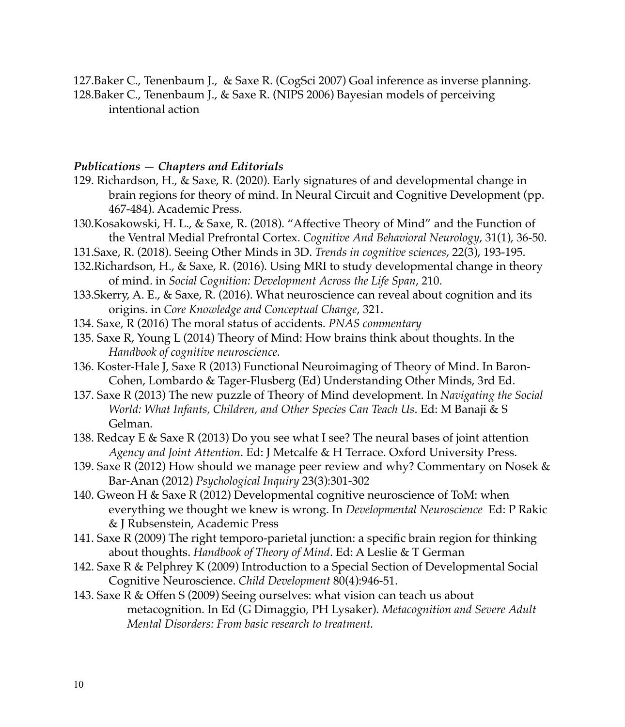127.Baker C., Tenenbaum J., & Saxe R. (CogSci 2007) Goal inference as inverse planning. 128.Baker C., Tenenbaum J., & Saxe R. (NIPS 2006) Bayesian models of perceiving intentional action

#### *Publications — Chapters and Editorials*

- 129. Richardson, H., & Saxe, R. (2020). Early signatures of and developmental change in brain regions for theory of mind. In Neural Circuit and Cognitive Development (pp. 467-484). Academic Press.
- 130.Kosakowski, H. L., & Saxe, R. (2018). "Affective Theory of Mind" and the Function of the Ventral Medial Prefrontal Cortex. *Cognitive And Behavioral Neurology*, 31(1), 36-50.
- 131.Saxe, R. (2018). Seeing Other Minds in 3D. *Trends in cognitive sciences*, 22(3), 193-195.
- 132.Richardson, H., & Saxe, R. (2016). Using MRI to study developmental change in theory of mind. in *Social Cognition: Development Across the Life Span*, 210.
- 133.Skerry, A. E., & Saxe, R. (2016). What neuroscience can reveal about cognition and its origins. in *Core Knowledge and Conceptual Change*, 321.
- 134. Saxe, R (2016) The moral status of accidents. *PNAS commentary*
- 135. Saxe R, Young L (2014) Theory of Mind: How brains think about thoughts. In the *Handbook of cognitive neuroscience.*
- 136. Koster-Hale J, Saxe R (2013) Functional Neuroimaging of Theory of Mind. In Baron-Cohen, Lombardo & Tager-Flusberg (Ed) Understanding Other Minds, 3rd Ed.
- 137. Saxe R (2013) The new puzzle of Theory of Mind development. In *Navigating the Social World: What Infants, Children, and Other Species Can Teach Us*. Ed: M Banaji & S Gelman.
- 138. Redcay E & Saxe R (2013) Do you see what I see? The neural bases of joint attention *Agency and Joint Attention*. Ed: J Metcalfe & H Terrace. Oxford University Press.
- 139. Saxe R (2012) How should we manage peer review and why? Commentary on Nosek & Bar-Anan (2012) *Psychological Inquiry* 23(3):301-302
- 140. Gweon H & Saxe R (2012) Developmental cognitive neuroscience of ToM: when everything we thought we knew is wrong. In *Developmental Neuroscience* Ed: P Rakic & J Rubsenstein, Academic Press
- 141. Saxe R (2009) The right temporo-parietal junction: a specific brain region for thinking about thoughts. *Handbook of Theory of Mind*. Ed: A Leslie & T German
- 142. Saxe R & Pelphrey K (2009) Introduction to a Special Section of Developmental Social Cognitive Neuroscience. *Child Development* 80(4):946-51.
- 143. Saxe R & Offen S (2009) Seeing ourselves: what vision can teach us about metacognition. In Ed (G Dimaggio, PH Lysaker). *Metacognition and Severe Adult Mental Disorders: From basic research to treatment.*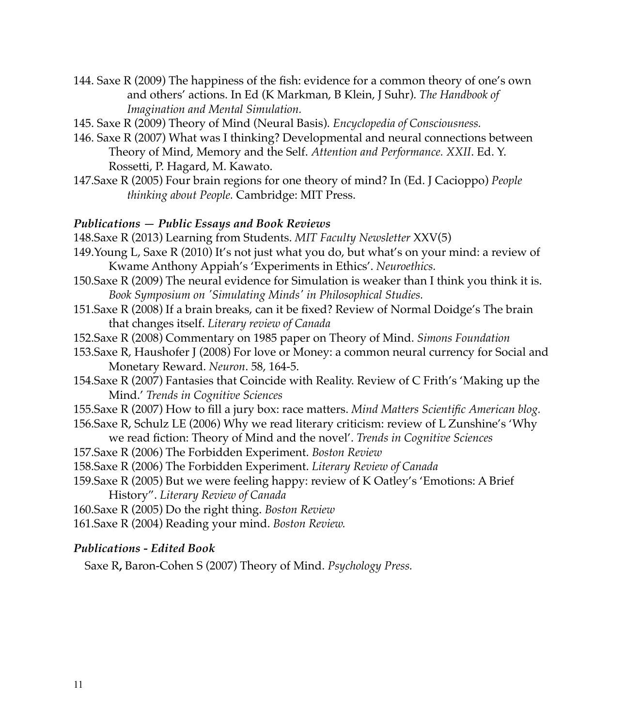- 144. Saxe R (2009) The happiness of the fish: evidence for a common theory of one's own and others' actions. In Ed (K Markman, B Klein, J Suhr). *The Handbook of Imagination and Mental Simulation.*
- 145. Saxe R (2009) Theory of Mind (Neural Basis). *Encyclopedia of Consciousness.*
- 146. Saxe R (2007) What was I thinking? Developmental and neural connections between Theory of Mind, Memory and the Self. *Attention and Performance. XXII*. Ed. Y. Rossetti, P. Hagard, M. Kawato.
- 147.Saxe R (2005) Four brain regions for one theory of mind? In (Ed. J Cacioppo) *People thinking about People.* Cambridge: MIT Press.

#### *Publications — Public Essays and Book Reviews*

148.Saxe R (2013) Learning from Students. *MIT Faculty Newsletter* XXV(5)

- 149.Young L, Saxe R (2010) It's not just what you do, but what's on your mind: a review of Kwame Anthony Appiah's 'Experiments in Ethics'. *Neuroethics.*
- 150.Saxe R (2009) The neural evidence for Simulation is weaker than I think you think it is. *Book Symposium on 'Simulating Minds' in Philosophical Studies.*
- 151.Saxe R (2008) If a brain breaks, can it be fixed? Review of Normal Doidge's The brain that changes itself. *Literary review of Canada*
- 152.Saxe R (2008) Commentary on 1985 paper on Theory of Mind. *Simons Foundation*
- 153.Saxe R, Haushofer J (2008) For love or Money: a common neural currency for Social and Monetary Reward. *Neuron*. 58, 164-5.
- 154.Saxe R (2007) Fantasies that Coincide with Reality. Review of C Frith's 'Making up the Mind.' *Trends in Cognitive Sciences*
- 155.Saxe R (2007) How to fill a jury box: race matters. *Mind Matters Scientific American blog.*
- 156.Saxe R, Schulz LE (2006) Why we read literary criticism: review of L Zunshine's 'Why we read fiction: Theory of Mind and the novel'. *Trends in Cognitive Sciences*
- 157.Saxe R (2006) The Forbidden Experiment. *Boston Review*
- 158.Saxe R (2006) The Forbidden Experiment. *Literary Review of Canada*
- 159.Saxe R (2005) But we were feeling happy: review of K Oatley's 'Emotions: A Brief History". *Literary Review of Canada*

160.Saxe R (2005) Do the right thing. *Boston Review*

161.Saxe R (2004) Reading your mind. *Boston Review.*

#### *Publications - Edited Book*

Saxe R**,** Baron-Cohen S (2007) Theory of Mind. *Psychology Press.*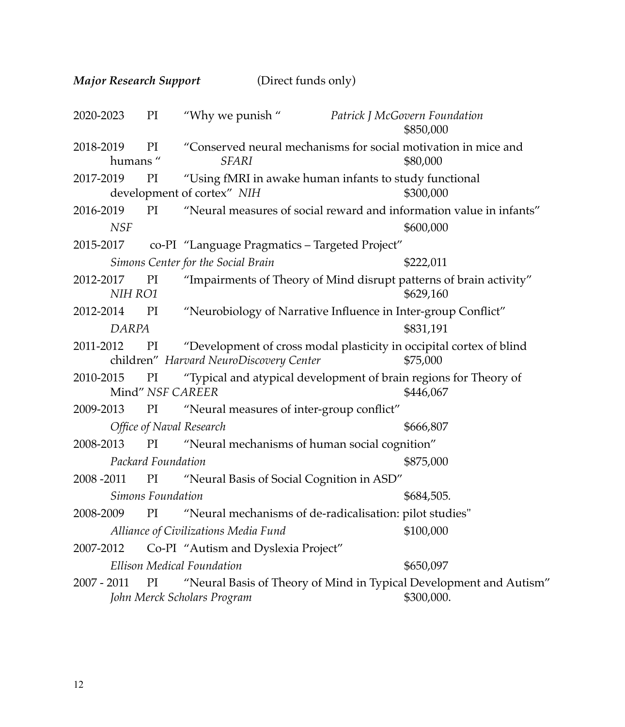*Major Research Support* (Direct funds only)

| 2020-2023                                         | PI | "Why we punish"                                                                                                | Patrick J McGovern Foundation | \$850,000  |  |
|---------------------------------------------------|----|----------------------------------------------------------------------------------------------------------------|-------------------------------|------------|--|
| 2018-2019<br>humans"                              | PI | "Conserved neural mechanisms for social motivation in mice and<br><b>SFARI</b>                                 |                               | \$80,000   |  |
| 2017-2019                                         | PI | "Using fMRI in awake human infants to study functional<br>development of cortex" NIH<br>\$300,000              |                               |            |  |
| 2016-2019<br><b>NSF</b>                           | PI | "Neural measures of social reward and information value in infants"                                            |                               | \$600,000  |  |
| 2015-2017                                         |    | co-PI "Language Pragmatics - Targeted Project"                                                                 |                               |            |  |
|                                                   |    | Simons Center for the Social Brain                                                                             |                               | \$222,011  |  |
| 2012-2017<br>NIH RO1                              | PI | "Impairments of Theory of Mind disrupt patterns of brain activity"                                             |                               | \$629,160  |  |
| 2012-2014                                         | PI | "Neurobiology of Narrative Influence in Inter-group Conflict"                                                  |                               |            |  |
| <b>DARPA</b>                                      |    |                                                                                                                |                               | \$831,191  |  |
| 2011-2012 PI                                      |    | "Development of cross modal plasticity in occipital cortex of blind<br>children" Harvard NeuroDiscovery Center |                               | \$75,000   |  |
| 2010-2015                                         | PI | "Typical and atypical development of brain regions for Theory of<br>Mind" NSF CAREER                           |                               | \$446,067  |  |
| 2009-2013                                         |    | PI "Neural measures of inter-group conflict"                                                                   |                               |            |  |
|                                                   |    | Office of Naval Research                                                                                       |                               | \$666,807  |  |
| 2008-2013                                         | PI | "Neural mechanisms of human social cognition"                                                                  |                               |            |  |
| Packard Foundation                                |    |                                                                                                                | \$875,000                     |            |  |
| 2008-2011 PI                                      |    | "Neural Basis of Social Cognition in ASD"                                                                      |                               |            |  |
| Simons Foundation<br>\$684,505.                   |    |                                                                                                                |                               |            |  |
| 2008-2009                                         | PI | "Neural mechanisms of de-radicalisation: pilot studies"                                                        |                               |            |  |
| Alliance of Civilizations Media Fund<br>\$100,000 |    |                                                                                                                |                               |            |  |
| 2007-2012                                         |    | Co-PI "Autism and Dyslexia Project"                                                                            |                               |            |  |
| <b>Ellison Medical Foundation</b><br>\$650,097    |    |                                                                                                                |                               |            |  |
| $2007 - 2011$                                     | PI | "Neural Basis of Theory of Mind in Typical Development and Autism"<br>John Merck Scholars Program              |                               | \$300,000. |  |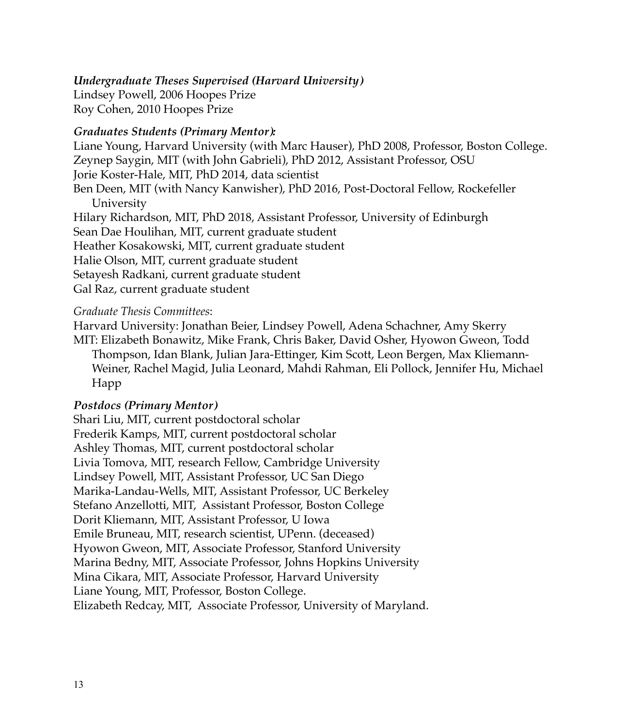*Undergraduate Theses Supervised (Harvard University)*

Lindsey Powell, 2006 Hoopes Prize Roy Cohen, 2010 Hoopes Prize

### *Graduates Students (Primary Mentor):*

Liane Young, Harvard University (with Marc Hauser), PhD 2008, Professor, Boston College. Zeynep Saygin, MIT (with John Gabrieli), PhD 2012, Assistant Professor, OSU Jorie Koster-Hale, MIT, PhD 2014, data scientist Ben Deen, MIT (with Nancy Kanwisher), PhD 2016, Post-Doctoral Fellow, Rockefeller University Hilary Richardson, MIT, PhD 2018, Assistant Professor, University of Edinburgh Sean Dae Houlihan, MIT, current graduate student Heather Kosakowski, MIT, current graduate student Halie Olson, MIT, current graduate student Setayesh Radkani, current graduate student Gal Raz, current graduate student

#### *Graduate Thesis Committees*:

Harvard University: Jonathan Beier, Lindsey Powell, Adena Schachner, Amy Skerry MIT: Elizabeth Bonawitz, Mike Frank, Chris Baker, David Osher, Hyowon Gweon, Todd Thompson, Idan Blank, Julian Jara-Ettinger, Kim Scott, Leon Bergen, Max Kliemann-Weiner, Rachel Magid, Julia Leonard, Mahdi Rahman, Eli Pollock, Jennifer Hu, Michael Happ

#### *Postdocs (Primary Mentor)*

Shari Liu, MIT, current postdoctoral scholar Frederik Kamps, MIT, current postdoctoral scholar Ashley Thomas, MIT, current postdoctoral scholar Livia Tomova, MIT, research Fellow, Cambridge University Lindsey Powell, MIT, Assistant Professor, UC San Diego Marika-Landau-Wells, MIT, Assistant Professor, UC Berkeley Stefano Anzellotti, MIT, Assistant Professor, Boston College Dorit Kliemann, MIT, Assistant Professor, U Iowa Emile Bruneau, MIT, research scientist, UPenn. (deceased) Hyowon Gweon, MIT, Associate Professor, Stanford University Marina Bedny, MIT, Associate Professor, Johns Hopkins University Mina Cikara, MIT, Associate Professor, Harvard University Liane Young, MIT, Professor, Boston College. Elizabeth Redcay, MIT, Associate Professor, University of Maryland.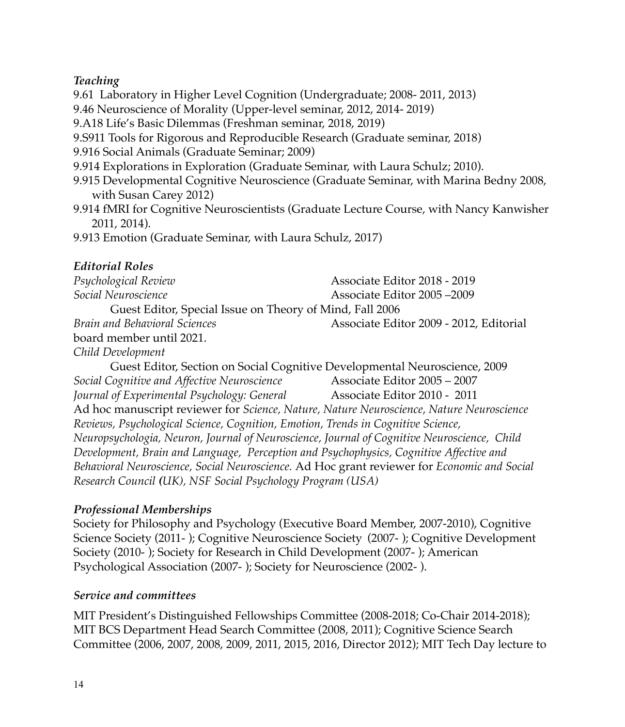# *Teaching*

9.61 Laboratory in Higher Level Cognition (Undergraduate; 2008- 2011, 2013)

9.46 Neuroscience of Morality (Upper-level seminar, 2012, 2014- 2019)

9.A18 Life's Basic Dilemmas (Freshman seminar, 2018, 2019)

9.S911 Tools for Rigorous and Reproducible Research (Graduate seminar, 2018)

9.916 Social Animals (Graduate Seminar; 2009)

9.914 Explorations in Exploration (Graduate Seminar, with Laura Schulz; 2010).

- 9.915 Developmental Cognitive Neuroscience (Graduate Seminar, with Marina Bedny 2008, with Susan Carey 2012)
- 9.914 fMRI for Cognitive Neuroscientists (Graduate Lecture Course, with Nancy Kanwisher 2011, 2014).

9.913 Emotion (Graduate Seminar, with Laura Schulz, 2017)

*Research Council (UK), NSF Social Psychology Program (USA)*

# *Editorial Roles*

| Psychological Review                                                                        | Associate Editor 2018 - 2019            |  |  |  |  |
|---------------------------------------------------------------------------------------------|-----------------------------------------|--|--|--|--|
| Social Neuroscience                                                                         | Associate Editor 2005-2009              |  |  |  |  |
| Guest Editor, Special Issue on Theory of Mind, Fall 2006                                    |                                         |  |  |  |  |
| Brain and Behavioral Sciences                                                               | Associate Editor 2009 - 2012, Editorial |  |  |  |  |
| board member until 2021.                                                                    |                                         |  |  |  |  |
| Child Development                                                                           |                                         |  |  |  |  |
| Guest Editor, Section on Social Cognitive Developmental Neuroscience, 2009                  |                                         |  |  |  |  |
| Social Cognitive and Affective Neuroscience                                                 | Associate Editor 2005 - 2007            |  |  |  |  |
| Journal of Experimental Psychology: General                                                 | Associate Editor 2010 - 2011            |  |  |  |  |
| Ad hoc manuscript reviewer for Science, Nature, Nature Neuroscience, Nature Neuroscience    |                                         |  |  |  |  |
| Reviews, Psychological Science, Cognition, Emotion, Trends in Cognitive Science,            |                                         |  |  |  |  |
| Neuropsychologia, Neuron, Journal of Neuroscience, Journal of Cognitive Neuroscience, Child |                                         |  |  |  |  |
| Development, Brain and Language, Perception and Psychophysics, Cognitive Affective and      |                                         |  |  |  |  |
| Behavioral Neuroscience, Social Neuroscience. Ad Hoc grant reviewer for Economic and Social |                                         |  |  |  |  |

# *Professional Memberships*

Society for Philosophy and Psychology (Executive Board Member, 2007-2010), Cognitive Science Society (2011- ); Cognitive Neuroscience Society (2007- ); Cognitive Development Society (2010- ); Society for Research in Child Development (2007- ); American Psychological Association (2007- ); Society for Neuroscience (2002- ).

# *Service and committees*

MIT President's Distinguished Fellowships Committee (2008-2018; Co-Chair 2014-2018); MIT BCS Department Head Search Committee (2008, 2011); Cognitive Science Search Committee (2006, 2007, 2008, 2009, 2011, 2015, 2016, Director 2012); MIT Tech Day lecture to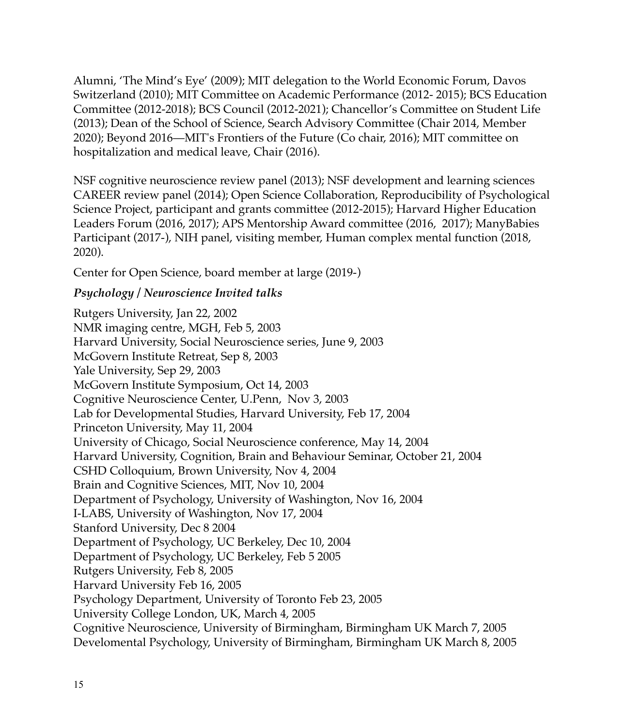Alumni, 'The Mind's Eye' (2009); MIT delegation to the World Economic Forum, Davos Switzerland (2010); MIT Committee on Academic Performance (2012- 2015); BCS Education Committee (2012-2018); BCS Council (2012-2021); Chancellor's Committee on Student Life (2013); Dean of the School of Science, Search Advisory Committee (Chair 2014, Member 2020); Beyond 2016—MIT's Frontiers of the Future (Co chair, 2016); MIT committee on hospitalization and medical leave, Chair (2016).

NSF cognitive neuroscience review panel (2013); NSF development and learning sciences CAREER review panel (2014); Open Science Collaboration, Reproducibility of Psychological Science Project, participant and grants committee (2012-2015); Harvard Higher Education Leaders Forum (2016, 2017); APS Mentorship Award committee (2016, 2017); ManyBabies Participant (2017-), NIH panel, visiting member, Human complex mental function (2018, 2020).

Center for Open Science, board member at large (2019-)

# *Psychology / Neuroscience Invited talks*

Rutgers University, Jan 22, 2002 NMR imaging centre, MGH, Feb 5, 2003 Harvard University, Social Neuroscience series, June 9, 2003 McGovern Institute Retreat, Sep 8, 2003 Yale University, Sep 29, 2003 McGovern Institute Symposium, Oct 14, 2003 Cognitive Neuroscience Center, U.Penn, Nov 3, 2003 Lab for Developmental Studies, Harvard University, Feb 17, 2004 Princeton University, May 11, 2004 University of Chicago, Social Neuroscience conference, May 14, 2004 Harvard University, Cognition, Brain and Behaviour Seminar, October 21, 2004 CSHD Colloquium, Brown University, Nov 4, 2004 Brain and Cognitive Sciences, MIT, Nov 10, 2004 Department of Psychology, University of Washington, Nov 16, 2004 I-LABS, University of Washington, Nov 17, 2004 Stanford University, Dec 8 2004 Department of Psychology, UC Berkeley, Dec 10, 2004 Department of Psychology, UC Berkeley, Feb 5 2005 Rutgers University, Feb 8, 2005 Harvard University Feb 16, 2005 Psychology Department, University of Toronto Feb 23, 2005 University College London, UK, March 4, 2005 Cognitive Neuroscience, University of Birmingham, Birmingham UK March 7, 2005 Develomental Psychology, University of Birmingham, Birmingham UK March 8, 2005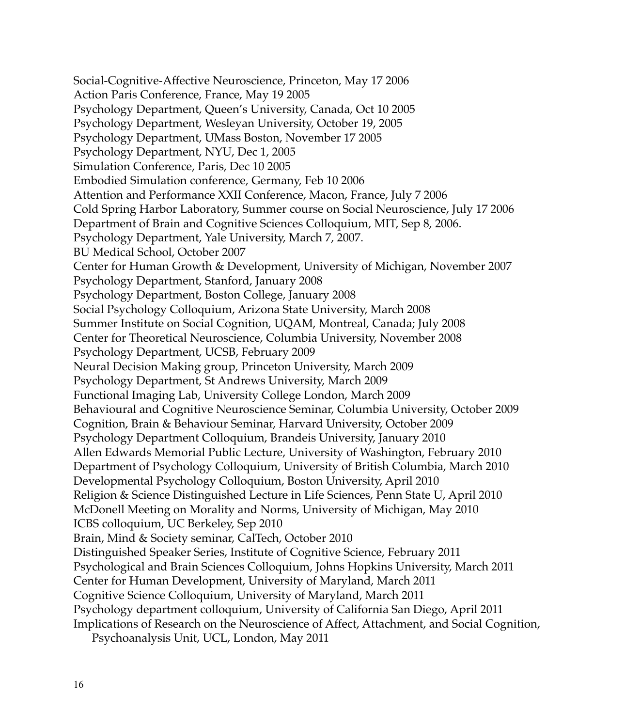Social-Cognitive-Affective Neuroscience, Princeton, May 17 2006 Action Paris Conference, France, May 19 2005 Psychology Department, Queen's University, Canada, Oct 10 2005 Psychology Department, Wesleyan University, October 19, 2005 Psychology Department, UMass Boston, November 17 2005 Psychology Department, NYU, Dec 1, 2005 Simulation Conference, Paris, Dec 10 2005 Embodied Simulation conference, Germany, Feb 10 2006 Attention and Performance XXII Conference, Macon, France, July 7 2006 Cold Spring Harbor Laboratory, Summer course on Social Neuroscience, July 17 2006 Department of Brain and Cognitive Sciences Colloquium, MIT, Sep 8, 2006. Psychology Department, Yale University, March 7, 2007. BU Medical School, October 2007 Center for Human Growth & Development, University of Michigan, November 2007 Psychology Department, Stanford, January 2008 Psychology Department, Boston College, January 2008 Social Psychology Colloquium, Arizona State University, March 2008 Summer Institute on Social Cognition, UQAM, Montreal, Canada; July 2008 Center for Theoretical Neuroscience, Columbia University, November 2008 Psychology Department, UCSB, February 2009 Neural Decision Making group, Princeton University, March 2009 Psychology Department, St Andrews University, March 2009 Functional Imaging Lab, University College London, March 2009 Behavioural and Cognitive Neuroscience Seminar, Columbia University, October 2009 Cognition, Brain & Behaviour Seminar, Harvard University, October 2009 Psychology Department Colloquium, Brandeis University, January 2010 Allen Edwards Memorial Public Lecture, University of Washington, February 2010 Department of Psychology Colloquium, University of British Columbia, March 2010 Developmental Psychology Colloquium, Boston University, April 2010 Religion & Science Distinguished Lecture in Life Sciences, Penn State U, April 2010 McDonell Meeting on Morality and Norms, University of Michigan, May 2010 ICBS colloquium, UC Berkeley, Sep 2010 Brain, Mind & Society seminar, CalTech, October 2010 Distinguished Speaker Series, Institute of Cognitive Science, February 2011 Psychological and Brain Sciences Colloquium, Johns Hopkins University, March 2011 Center for Human Development, University of Maryland, March 2011 Cognitive Science Colloquium, University of Maryland, March 2011 Psychology department colloquium, University of California San Diego, April 2011 Implications of Research on the Neuroscience of Affect, Attachment, and Social Cognition,

Psychoanalysis Unit, UCL, London, May 2011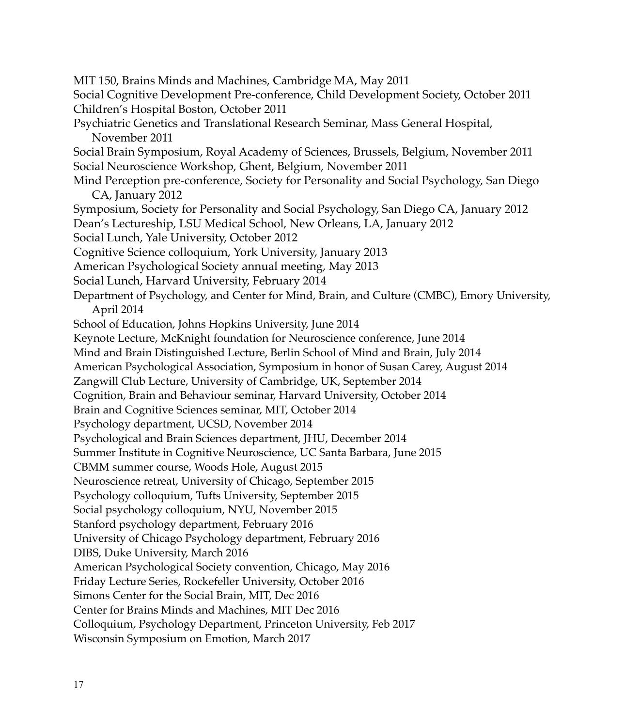MIT 150, Brains Minds and Machines, Cambridge MA, May 2011 Social Cognitive Development Pre-conference, Child Development Society, October 2011 Children's Hospital Boston, October 2011 Psychiatric Genetics and Translational Research Seminar, Mass General Hospital, November 2011 Social Brain Symposium, Royal Academy of Sciences, Brussels, Belgium, November 2011 Social Neuroscience Workshop, Ghent, Belgium, November 2011 Mind Perception pre-conference, Society for Personality and Social Psychology, San Diego CA, January 2012 Symposium, Society for Personality and Social Psychology, San Diego CA, January 2012 Dean's Lectureship, LSU Medical School, New Orleans, LA, January 2012 Social Lunch, Yale University, October 2012 Cognitive Science colloquium, York University, January 2013 American Psychological Society annual meeting, May 2013 Social Lunch, Harvard University, February 2014 Department of Psychology, and Center for Mind, Brain, and Culture (CMBC), Emory University, April 2014 School of Education, Johns Hopkins University, June 2014 Keynote Lecture, McKnight foundation for Neuroscience conference, June 2014 Mind and Brain Distinguished Lecture, Berlin School of Mind and Brain, July 2014 American Psychological Association, Symposium in honor of Susan Carey, August 2014 Zangwill Club Lecture, University of Cambridge, UK, September 2014 Cognition, Brain and Behaviour seminar, Harvard University, October 2014 Brain and Cognitive Sciences seminar, MIT, October 2014 Psychology department, UCSD, November 2014 Psychological and Brain Sciences department, JHU, December 2014 Summer Institute in Cognitive Neuroscience, UC Santa Barbara, June 2015 CBMM summer course, Woods Hole, August 2015 Neuroscience retreat, University of Chicago, September 2015 Psychology colloquium, Tufts University, September 2015 Social psychology colloquium, NYU, November 2015 Stanford psychology department, February 2016 University of Chicago Psychology department, February 2016 DIBS, Duke University, March 2016 American Psychological Society convention, Chicago, May 2016 Friday Lecture Series, Rockefeller University, October 2016 Simons Center for the Social Brain, MIT, Dec 2016 Center for Brains Minds and Machines, MIT Dec 2016 Colloquium, Psychology Department, Princeton University, Feb 2017 Wisconsin Symposium on Emotion, March 2017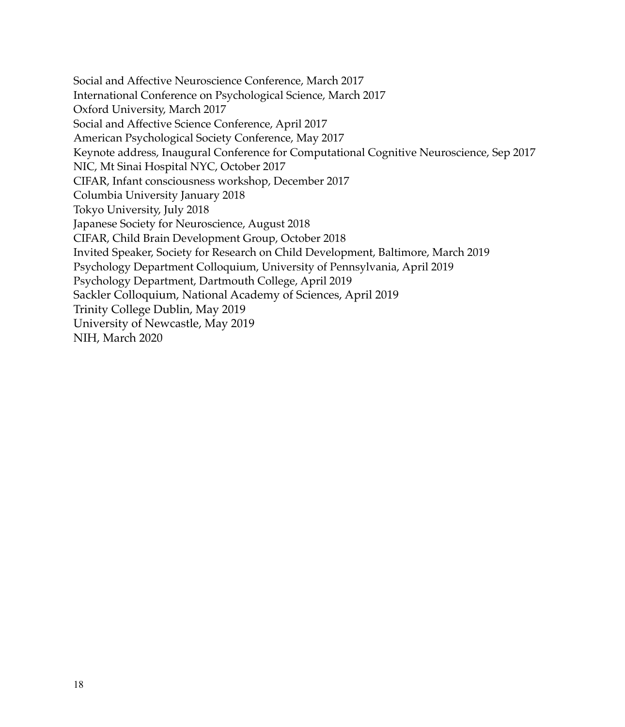Social and Affective Neuroscience Conference, March 2017 International Conference on Psychological Science, March 2017 Oxford University, March 2017 Social and Affective Science Conference, April 2017 American Psychological Society Conference, May 2017 Keynote address, Inaugural Conference for Computational Cognitive Neuroscience, Sep 2017 NIC, Mt Sinai Hospital NYC, October 2017 CIFAR, Infant consciousness workshop, December 2017 Columbia University January 2018 Tokyo University, July 2018 Japanese Society for Neuroscience, August 2018 CIFAR, Child Brain Development Group, October 2018 Invited Speaker, Society for Research on Child Development, Baltimore, March 2019 Psychology Department Colloquium, University of Pennsylvania, April 2019 Psychology Department, Dartmouth College, April 2019 Sackler Colloquium, National Academy of Sciences, April 2019 Trinity College Dublin, May 2019 University of Newcastle, May 2019 NIH, March 2020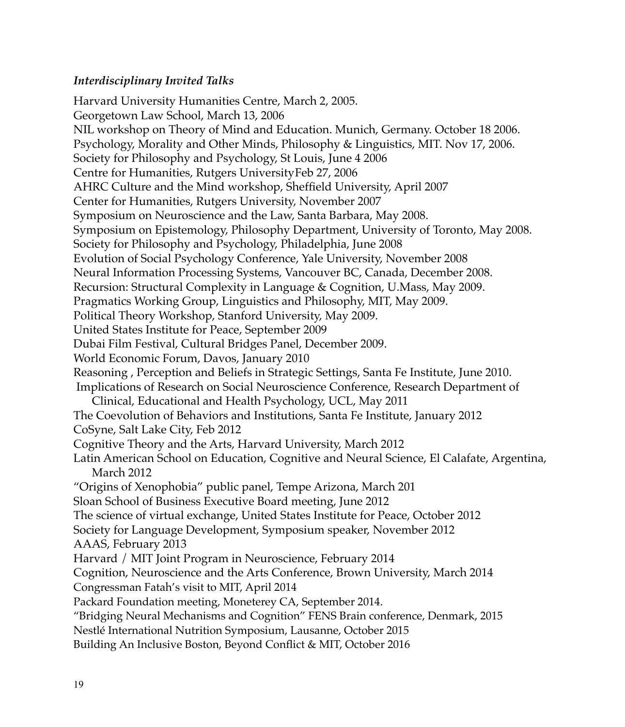## *Interdisciplinary Invited Talks*

Harvard University Humanities Centre, March 2, 2005. Georgetown Law School, March 13, 2006 NIL workshop on Theory of Mind and Education. Munich, Germany. October 18 2006. Psychology, Morality and Other Minds, Philosophy & Linguistics, MIT. Nov 17, 2006. Society for Philosophy and Psychology, St Louis, June 4 2006 Centre for Humanities, Rutgers UniversityFeb 27, 2006 AHRC Culture and the Mind workshop, Sheffield University, April 2007 Center for Humanities, Rutgers University, November 2007 Symposium on Neuroscience and the Law, Santa Barbara, May 2008. Symposium on Epistemology, Philosophy Department, University of Toronto, May 2008. Society for Philosophy and Psychology, Philadelphia, June 2008 Evolution of Social Psychology Conference, Yale University, November 2008 Neural Information Processing Systems, Vancouver BC, Canada, December 2008. Recursion: Structural Complexity in Language & Cognition, U.Mass, May 2009. Pragmatics Working Group, Linguistics and Philosophy, MIT, May 2009. Political Theory Workshop, Stanford University, May 2009. United States Institute for Peace, September 2009 Dubai Film Festival, Cultural Bridges Panel, December 2009. World Economic Forum, Davos, January 2010 Reasoning , Perception and Beliefs in Strategic Settings, Santa Fe Institute, June 2010. Implications of Research on Social Neuroscience Conference, Research Department of Clinical, Educational and Health Psychology, UCL, May 2011 The Coevolution of Behaviors and Institutions, Santa Fe Institute, January 2012 CoSyne, Salt Lake City, Feb 2012 Cognitive Theory and the Arts, Harvard University, March 2012 Latin American School on Education, Cognitive and Neural Science, El Calafate, Argentina, March 2012 "Origins of Xenophobia" public panel, Tempe Arizona, March 201 Sloan School of Business Executive Board meeting, June 2012 The science of virtual exchange, United States Institute for Peace, October 2012 Society for Language Development, Symposium speaker, November 2012 AAAS, February 2013 Harvard / MIT Joint Program in Neuroscience, February 2014 Cognition, Neuroscience and the Arts Conference, Brown University, March 2014 Congressman Fatah's visit to MIT, April 2014 Packard Foundation meeting, Moneterey CA, September 2014. "Bridging Neural Mechanisms and Cognition" FENS Brain conference, Denmark, 2015 Nestlé International Nutrition Symposium, Lausanne, October 2015 Building An Inclusive Boston, Beyond Conflict & MIT, October 2016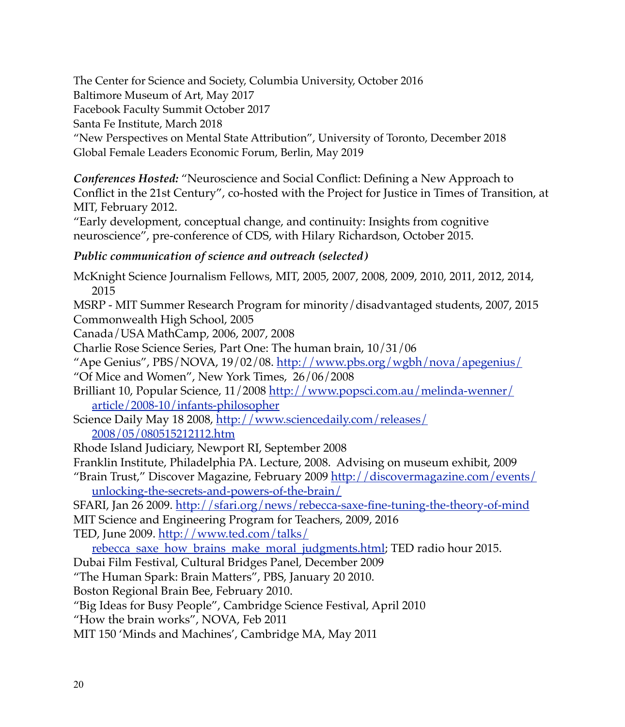The Center for Science and Society, Columbia University, October 2016

Baltimore Museum of Art, May 2017

Facebook Faculty Summit October 2017

Santa Fe Institute, March 2018

"New Perspectives on Mental State Attribution", University of Toronto, December 2018 Global Female Leaders Economic Forum, Berlin, May 2019

*Conferences Hosted:* "Neuroscience and Social Conflict: Defining a New Approach to Conflict in the 21st Century", co-hosted with the Project for Justice in Times of Transition, at MIT, February 2012.

"Early development, conceptual change, and continuity: Insights from cognitive neuroscience", pre-conference of CDS, with Hilary Richardson, October 2015.

# *Public communication of science and outreach (selected)*

McKnight Science Journalism Fellows, MIT, 2005, 2007, 2008, 2009, 2010, 2011, 2012, 2014, 2015 MSRP - MIT Summer Research Program for minority/disadvantaged students, 2007, 2015 Commonwealth High School, 2005 Canada/USA MathCamp, 2006, 2007, 2008 Charlie Rose Science Series, Part One: The human brain, 10/31/06 "Ape Genius", PBS/NOVA, 19/02/08.<http://www.pbs.org/wgbh/nova/apegenius/> "Of Mice and Women", New York Times, 26/06/2008 Bri[lliant 10, Popular Science, 11/2008 http://www.popsci.com.au/melinda-wenner/](http://www.popsci.com.au/melinda-wenner/article/2008-10/infants-philosopher) [article/2008-10/infants-philosopher](http://www.popsci.com.au/melinda-wenner/article/2008-10/infants-philosopher) Sci[ence Daily May 18 2008, http://www.sciencedaily.com/releases/](http://www.sciencedaily.com/releases/2008/05/080515212112.htm) [2008/05/080515212112.htm](http://www.sciencedaily.com/releases/2008/05/080515212112.htm) Rhode Island Judiciary, Newport RI, September 2008 Franklin Institute, Philadelphia PA. Lecture, 2008. Advising on museum exhibit, 2009 "Br[ain Trust," Discover Magazine, February 2009 http://discovermagazine.com/events/](http://discovermagazine.com/events/unlocking-the-secrets-and-powers-of-the-brain/) [unlocking-the-secrets-and-powers-of-the-brain/](http://discovermagazine.com/events/unlocking-the-secrets-and-powers-of-the-brain/) SFARI, Jan 26 2009.<http://sfari.org/news/rebecca-saxe-fine-tuning-the-theory-of-mind> MIT Science and Engineering Program for Teachers, 2009, 2016 TED, June 2009. [http://www.ted.com/talks/](http://www.ted.com/talks/rebecca_saxe_how_brains_make_moral_judgments.html) [rebecca\\_saxe\\_how\\_brains\\_make\\_moral\\_judgments.html](http://www.ted.com/talks/rebecca_saxe_how_brains_make_moral_judgments.html); TED radio hour 2015. Dubai Film Festival, Cultural Bridges Panel, December 2009 "The Human Spark: Brain Matters", PBS, January 20 2010. Boston Regional Brain Bee, February 2010. "Big Ideas for Busy People", Cambridge Science Festival, April 2010 "How the brain works", NOVA, Feb 2011 MIT 150 'Minds and Machines', Cambridge MA, May 2011